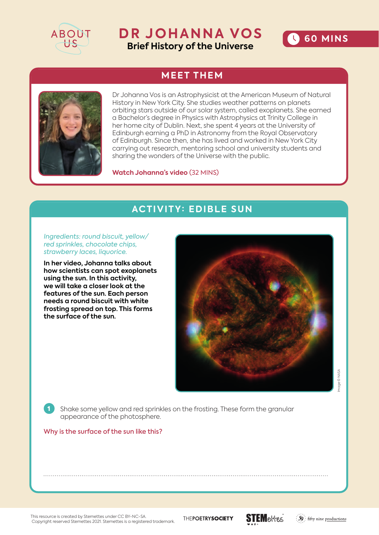

## **DR JOHANNA VOS Brief History of the Universe**



## **MEET THEM**



Dr Johanna Vos is an Astrophysicist at the American Museum of Natural History in New York City. She studies weather patterns on planets orbiting stars outside of our solar system, called exoplanets. She earned a Bachelor's degree in Physics with Astrophysics at Trinity College in her home city of Dublin. Next, she spent 4 years at the University of Edinburgh earning a PhD in Astronomy from the Royal Observatory of Edinburgh. Since then, she has lived and worked in New York City carrying out research, mentoring school and university students and sharing the wonders of the Universe with the public.

**Watch Johanna's video** (32 MINS)

## **ACTIVITY: EDIBLE SUN**

*Ingredients: round biscuit, yellow/ red sprinkles, chocolate chips, strawberry laces, liquorice.* 

**In her video, Johanna talks about how scientists can spot exoplanets using the sun. In this activity, we will take a closer look at the features of the sun. Each person needs a round biscuit with white frosting spread on top. This forms the surface of the sun.** 



age © NASA Image © NASA

1 Shake some yellow and red sprinkles on the frosting. These form the granular appearance of the photosphere.

Why is the surface of the sun like this?

This resource is created by Stemettes under CC BY-NC-SA. Copyright reserved Stemettes 2021. Stemettes is a registered trademark.

THEPOETRYSOCIETY